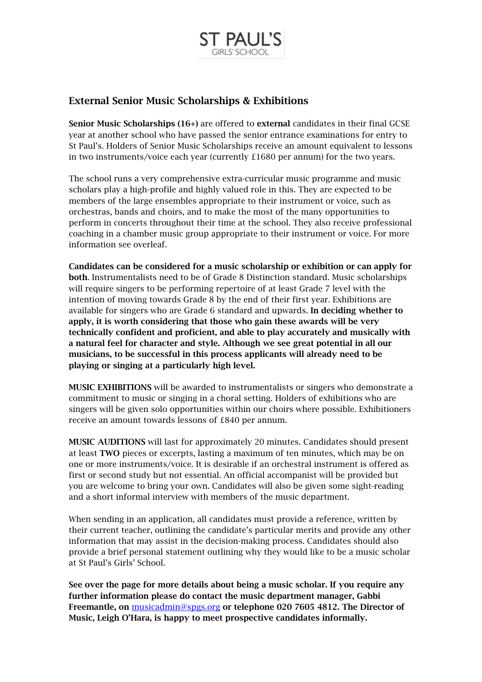

# External Senior Music Scholarships & Exhibitions

Senior Music Scholarships (16+) are offered to external candidates in their final GCSE year at another school who have passed the senior entrance examinations for entry to St Paul's. Holders of Senior Music Scholarships receive an amount equivalent to lessons in two instruments/voice each year (currently £1680 per annum) for the two years.

The school runs a very comprehensive extra-curricular music programme and music scholars play a high-profile and highly valued role in this. They are expected to be members of the large ensembles appropriate to their instrument or voice, such as orchestras, bands and choirs, and to make the most of the many opportunities to perform in concerts throughout their time at the school. They also receive professional coaching in a chamber music group appropriate to their instrument or voice. For more information see overleaf.

Candidates can be considered for a music scholarship or exhibition or can apply for both. Instrumentalists need to be of Grade 8 Distinction standard. Music scholarships will require singers to be performing repertoire of at least Grade 7 level with the intention of moving towards Grade 8 by the end of their first year. Exhibitions are available for singers who are Grade 6 standard and upwards. In deciding whether to apply, it is worth considering that those who gain these awards will be very technically confident and proficient, and able to play accurately and musically with a natural feel for character and style. Although we see great potential in all our musicians, to be successful in this process applicants will already need to be playing or singing at a particularly high level.

MUSIC EXHIBITIONS will be awarded to instrumentalists or singers who demonstrate a commitment to music or singing in a choral setting. Holders of exhibitions who are singers will be given solo opportunities within our choirs where possible. Exhibitioners receive an amount towards lessons of £840 per annum.

MUSIC AUDITIONS will last for approximately 20 minutes. Candidates should present at least TWO pieces or excerpts, lasting a maximum of ten minutes, which may be on one or more instruments/voice. It is desirable if an orchestral instrument is offered as first or second study but not essential. An official accompanist will be provided but you are welcome to bring your own. Candidates will also be given some sight-reading and a short informal interview with members of the music department.

When sending in an application, all candidates must provide a reference, written by their current teacher, outlining the candidate's particular merits and provide any other information that may assist in the decision-making process. Candidates should also provide a brief personal statement outlining why they would like to be a music scholar at St Paul's Girls' School.

See over the page for more details about being a music scholar. If you require any further information please do contact the music department manager, Gabbi Freemantle, on [musicadmin@spgs.org](mailto:musicadmin@spgs.org) or telephone 020 7605 4812. The Director of Music, Leigh O'Hara, is happy to meet prospective candidates informally.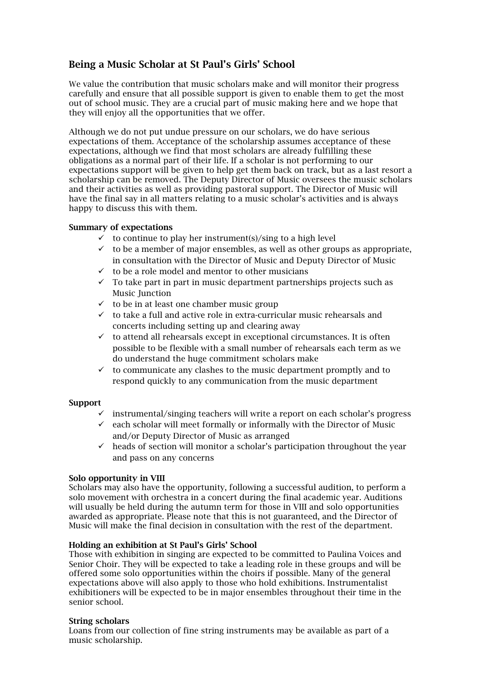# Being a Music Scholar at St Paul's Girls' School

We value the contribution that music scholars make and will monitor their progress carefully and ensure that all possible support is given to enable them to get the most out of school music. They are a crucial part of music making here and we hope that they will enjoy all the opportunities that we offer.

Although we do not put undue pressure on our scholars, we do have serious expectations of them. Acceptance of the scholarship assumes acceptance of these expectations, although we find that most scholars are already fulfilling these obligations as a normal part of their life. If a scholar is not performing to our expectations support will be given to help get them back on track, but as a last resort a scholarship can be removed. The Deputy Director of Music oversees the music scholars and their activities as well as providing pastoral support. The Director of Music will have the final say in all matters relating to a music scholar's activities and is always happy to discuss this with them.

## Summary of expectations

- $\checkmark$  to continue to play her instrument(s)/sing to a high level
- $\checkmark$  to be a member of major ensembles, as well as other groups as appropriate. in consultation with the Director of Music and Deputy Director of Music
- $\checkmark$  to be a role model and mentor to other musicians
- $\checkmark$  To take part in part in music department partnerships projects such as Music Junction
- $\checkmark$  to be in at least one chamber music group
- $\checkmark$  to take a full and active role in extra-curricular music rehearsals and concerts including setting up and clearing away
- $\checkmark$  to attend all rehearsals except in exceptional circumstances. It is often possible to be flexible with a small number of rehearsals each term as we do understand the huge commitment scholars make
- $\checkmark$  to communicate any clashes to the music department promptly and to respond quickly to any communication from the music department

### Support

- $\checkmark$  instrumental/singing teachers will write a report on each scholar's progress
- $\checkmark$  each scholar will meet formally or informally with the Director of Music and/or Deputy Director of Music as arranged
- $\checkmark$  heads of section will monitor a scholar's participation throughout the year and pass on any concerns

## Solo opportunity in VIII

Scholars may also have the opportunity, following a successful audition, to perform a solo movement with orchestra in a concert during the final academic year. Auditions will usually be held during the autumn term for those in VIII and solo opportunities awarded as appropriate. Please note that this is not guaranteed, and the Director of Music will make the final decision in consultation with the rest of the department.

### Holding an exhibition at St Paul's Girls' School

Those with exhibition in singing are expected to be committed to Paulina Voices and Senior Choir. They will be expected to take a leading role in these groups and will be offered some solo opportunities within the choirs if possible. Many of the general expectations above will also apply to those who hold exhibitions. Instrumentalist exhibitioners will be expected to be in major ensembles throughout their time in the senior school.

### String scholars

Loans from our collection of fine string instruments may be available as part of a music scholarship.